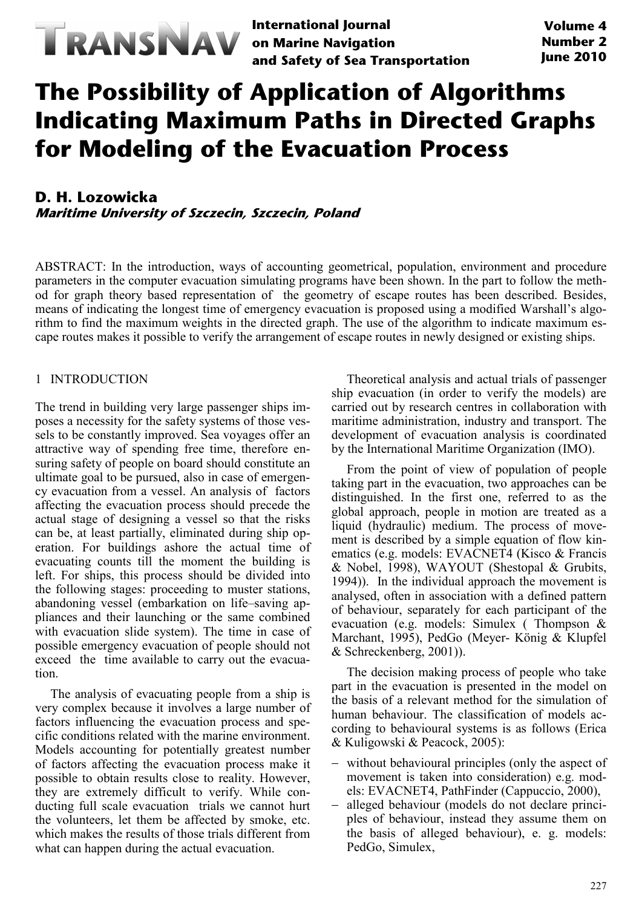

**International Journal on Marine Navigation and Safety of Sea Transportation**

# **The Possibility of Application of Algorithms Indicating Maximum Paths in Directed Graphs for Modeling of the Evacuation Process**

# **D. H. Lozowicka Maritime University of Szczecin, Szczecin, Poland**

ABSTRACT: In the introduction, ways of accounting geometrical, population, environment and procedure parameters in the computer evacuation simulating programs have been shown. In the part to follow the method for graph theory based representation of the geometry of escape routes has been described. Besides, means of indicating the longest time of emergency evacuation is proposed using a modified Warshall's algorithm to find the maximum weights in the directed graph. The use of the algorithm to indicate maximum escape routes makes it possible to verify the arrangement of escape routes in newly designed or existing ships.

# 1 INTRODUCTION

The trend in building very large passenger ships imposes a necessity for the safety systems of those vessels to be constantly improved. Sea voyages offer an attractive way of spending free time, therefore ensuring safety of people on board should constitute an ultimate goal to be pursued, also in case of emergency evacuation from a vessel. An analysis of factors affecting the evacuation process should precede the actual stage of designing a vessel so that the risks can be, at least partially, eliminated during ship operation. For buildings ashore the actual time of evacuating counts till the moment the building is left. For ships, this process should be divided into the following stages: proceeding to muster stations, abandoning vessel (embarkation on life–saving appliances and their launching or the same combined with evacuation slide system). The time in case of possible emergency evacuation of people should not exceed the time available to carry out the evacuation.

The analysis of evacuating people from a ship is very complex because it involves a large number of factors influencing the evacuation process and specific conditions related with the marine environment. Models accounting for potentially greatest number of factors affecting the evacuation process make it possible to obtain results close to reality. However, they are extremely difficult to verify. While conducting full scale evacuation trials we cannot hurt the volunteers, let them be affected by smoke, etc. which makes the results of those trials different from what can happen during the actual evacuation.

Theoretical analysis and actual trials of passenger ship evacuation (in order to verify the models) are carried out by research centres in collaboration with maritime administration, industry and transport. The development of evacuation analysis is coordinated by the International Maritime Organization (IMO).

From the point of view of population of people taking part in the evacuation, two approaches can be distinguished. In the first one, referred to as the global approach, people in motion are treated as a liquid (hydraulic) medium. The process of movement is described by a simple equation of flow kinematics (e.g. models: EVACNET4 (Kisco & Francis & Nobel, 1998), WAYOUT (Shestopal & Grubits, 1994)). In the individual approach the movement is analysed, often in association with a defined pattern of behaviour, separately for each participant of the evacuation (e.g. models: Simulex ( Thompson & Marchant, 1995), PedGo (Meyer- König & Klupfel & Schreckenberg, 2001)).

The decision making process of people who take part in the evacuation is presented in the model on the basis of a relevant method for the simulation of human behaviour. The classification of models according to behavioural systems is as follows (Erica & Kuligowski & Peacock, 2005):

- − without behavioural principles (only the aspect of movement is taken into consideration) e.g. models: EVACNET4, PathFinder (Cappuccio, 2000),
- − alleged behaviour (models do not declare principles of behaviour, instead they assume them on the basis of alleged behaviour), e. g. models: PedGo, Simulex,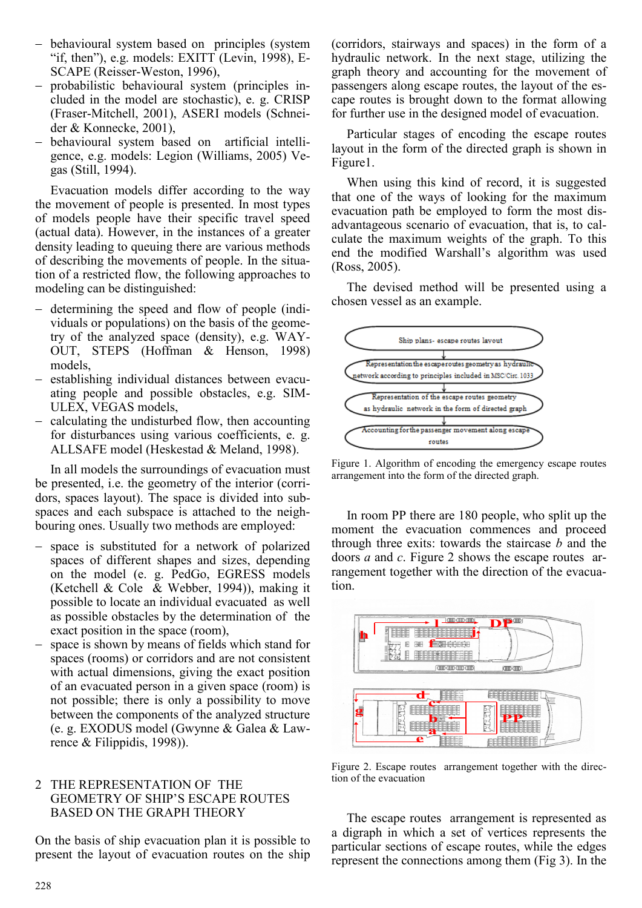- − behavioural system based on principles (system "if, then"), e.g. models: EXITT (Levin, 1998),  $E-$ SCAPE (Reisser-Weston, 1996),
- − probabilistic behavioural system (principles included in the model are stochastic), e. g. CRISP (Fraser-Mitchell, 2001), ASERI models (Schneider & Konnecke, 2001),
- − behavioural system based on artificial intelligence, e.g. models: Legion (Williams, 2005) Vegas (Still, 1994).

Evacuation models differ according to the way the movement of people is presented. In most types of models people have their specific travel speed (actual data). However, in the instances of a greater density leading to queuing there are various methods of describing the movements of people. In the situation of a restricted flow, the following approaches to modeling can be distinguished:

- − determining the speed and flow of people (individuals or populations) on the basis of the geometry of the analyzed space (density), e.g. WAY-OUT, STEPS (Hoffman & Henson, 1998) models,
- − establishing individual distances between evacuating people and possible obstacles, e.g. SIM-ULEX, VEGAS models,
- − calculating the undisturbed flow, then accounting for disturbances using various coefficients, e. g. ALLSAFE model (Heskestad & Meland, 1998).

In all models the surroundings of evacuation must be presented, i.e. the geometry of the interior (corridors, spaces layout). The space is divided into subspaces and each subspace is attached to the neighbouring ones. Usually two methods are employed:

- − space is substituted for a network of polarized spaces of different shapes and sizes, depending on the model (e. g. PedGo, EGRESS models (Ketchell & Cole & Webber, 1994)), making it possible to locate an individual evacuated as well as possible obstacles by the determination of the exact position in the space (room),
- − space is shown by means of fields which stand for spaces (rooms) or corridors and are not consistent with actual dimensions, giving the exact position of an evacuated person in a given space (room) is not possible; there is only a possibility to move between the components of the analyzed structure (e. g. EXODUS model (Gwynne & Galea & Lawrence & Filippidis, 1998)).

## 2 THE REPRESENTATION OF THE GEOMETRY OF SHIP'S ESCAPE ROUTES BASED ON THE GRAPH THEORY

On the basis of ship evacuation plan it is possible to present the layout of evacuation routes on the ship (corridors, stairways and spaces) in the form of a hydraulic network. In the next stage, utilizing the graph theory and accounting for the movement of passengers along escape routes, the layout of the escape routes is brought down to the format allowing for further use in the designed model of evacuation.

Particular stages of encoding the escape routes layout in the form of the directed graph is shown in Figure1.

When using this kind of record, it is suggested that one of the ways of looking for the maximum evacuation path be employed to form the most disadvantageous scenario of evacuation, that is, to calculate the maximum weights of the graph. To this end the modified Warshall's algorithm was used (Ross, 2005).

The devised method will be presented using a chosen vessel as an example.



Figure 1. Algorithm of encoding the emergency escape routes arrangement into the form of the directed graph.

In room PP there are 180 people, who split up the moment the evacuation commences and proceed through three exits: towards the staircase *b* and the doors *a* and *c*. Figure 2 shows the escape routes arrangement together with the direction of the evacuation.



Figure 2. Escape routes arrangement together with the direction of the evacuation

The escape routes arrangement is represented as a digraph in which a set of vertices represents the particular sections of escape routes, while the edges represent the connections among them (Fig 3). In the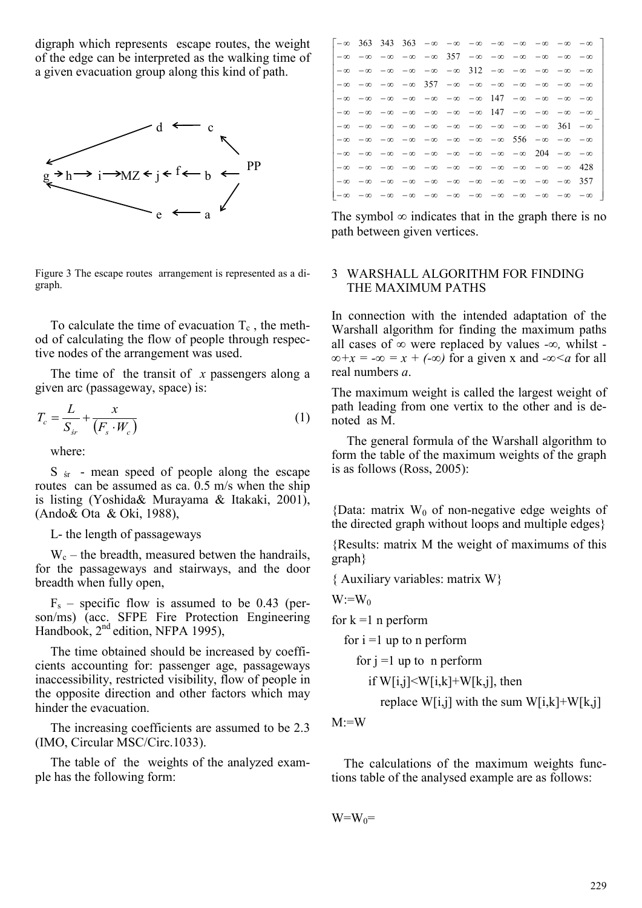digraph which represents escape routes, the weight of the edge can be interpreted as the walking time of a given evacuation group along this kind of path.



Figure 3 The escape routes arrangement is represented as a digraph.

To calculate the time of evacuation  $T_c$ , the method of calculating the flow of people through respective nodes of the arrangement was used.

The time of the transit of *x* passengers along a given arc (passageway, space) is:

$$
T_c = \frac{L}{S_{sr}} + \frac{x}{\left(F_s \cdot W_c\right)}\tag{1}
$$

where:

S  $\zeta$  - mean speed of people along the escape routes can be assumed as ca. 0.5 m/s when the ship is listing (Yoshida& Murayama & Itakaki, 2001), (Ando& Ota & Oki, 1988),

L- the length of passageways

 $W_c$  – the breadth, measured betwen the handrails, for the passageways and stairways, and the door breadth when fully open,

 $F_s$  – specific flow is assumed to be 0.43 (person/ms) (acc. SFPE Fire Protection Engineering Handbook, 2<sup>nd</sup> edition, NFPA 1995),

The time obtained should be increased by coefficients accounting for: passenger age, passageways inaccessibility, restricted visibility, flow of people in the opposite direction and other factors which may hinder the evacuation.

The increasing coefficients are assumed to be 2.3 (IMO, Circular MSC/Circ.1033).

The table of the weights of the analyzed example has the following form:

|  |  |                                                                                                                                          |  |  | $ - \infty$ 363 343 363 $- \infty$ $- \infty$ $- \infty$ $- \infty$ $- \infty$ $- \infty$ $- \infty$ $- \infty$ $- \infty$ $ $ |
|--|--|------------------------------------------------------------------------------------------------------------------------------------------|--|--|--------------------------------------------------------------------------------------------------------------------------------|
|  |  | $\vert -\infty$ $-\infty$ $-\infty$ $-\infty$ $-\infty$ 357 $-\infty$ $-\infty$ $-\infty$ $-\infty$ $-\infty$                            |  |  |                                                                                                                                |
|  |  | $-\infty$ $-\infty$ $-\infty$ $-\infty$ $-\infty$ $-\infty$ $312$ $-\infty$ $-\infty$ $-\infty$ $-\infty$ $-\infty$                      |  |  |                                                                                                                                |
|  |  | $-\infty$ $-\infty$ $-\infty$ $-\infty$ $357$ $-\infty$ $-\infty$ $-\infty$ $-\infty$ $-\infty$ $-\infty$ $-\infty$                      |  |  |                                                                                                                                |
|  |  | $-\infty$ $-\infty$ $-\infty$ $-\infty$ $-\infty$ $-\infty$ $-\infty$ $147$ $-\infty$ $-\infty$ $-\infty$ $-\infty$                      |  |  |                                                                                                                                |
|  |  | $-\infty$ $-\infty$ $-\infty$ $-\infty$ $-\infty$ $-\infty$ $-\infty$ $147$ $-\infty$ $-\infty$ $-\infty$ $-\infty$                      |  |  |                                                                                                                                |
|  |  | $-\infty$ $-\infty$ $-\infty$ $-\infty$ $-\infty$ $-\infty$ $-\infty$ $-\infty$ $-\infty$ $-\infty$ 361 $-\infty$                        |  |  |                                                                                                                                |
|  |  | $-\infty$ $-\infty$ $-\infty$ $-\infty$ $-\infty$ $-\infty$ $-\infty$ $-\infty$ $556$ $-\infty$ $-\infty$ $-\infty$                      |  |  |                                                                                                                                |
|  |  | $\vert -\infty$ $-\infty$ $-\infty$ $-\infty$ $-\infty$ $-\infty$ $-\infty$ $-\infty$ $-\infty$ $204$ $-\infty$ $-\infty$                |  |  |                                                                                                                                |
|  |  | $ - \infty\>$ $- \infty\>$ $- \infty\>$ $- \infty\>$ $- \infty\>$ $- \infty\>$ $- \infty\>$ $- \infty\>$ $- \infty\>$ $- \infty\>$ $428$ |  |  |                                                                                                                                |
|  |  | $1-\infty$ $-\infty$ $-\infty$ $-\infty$ $-\infty$ $-\infty$ $-\infty$ $-\infty$ $-\infty$ $-\infty$ $-357$                              |  |  |                                                                                                                                |
|  |  |                                                                                                                                          |  |  |                                                                                                                                |

The symbol  $\infty$  indicates that in the graph there is no path between given vertices.

### 3 WARSHALL ALGORITHM FOR FINDING THE MAXIMUM PATHS

In connection with the intended adaptation of the Warshall algorithm for finding the maximum paths all cases of *∞* were replaced by values *-∞,* whilst *-*  $\infty + x = -\infty = x + (-\infty)$  for a given x and  $-\infty < a$  for all real numbers *a*.

The maximum weight is called the largest weight of path leading from one vertix to the other and is denoted as M.

The general formula of the Warshall algorithm to form the table of the maximum weights of the graph is as follows (Ross, 2005):

{Data: matrix  $W_0$  of non-negative edge weights of the directed graph without loops and multiple edges}

{Results: matrix M the weight of maximums of this graph}

{ Auxiliary variables: matrix W}

$$
W\text{:=}\!\!\:W_0
$$

for  $k = 1$  n perform

for  $i = 1$  up to n perform

for 
$$
j = 1
$$
 up to  $n$  perform  
if  $W[i,j] < W[i,k] + W[k,j]$ , then

replace  $W[i,j]$  with the sum  $W[i,k]+W[k,j]$ 

 $M:=W$ 

The calculations of the maximum weights functions table of the analysed example are as follows:

$$
W = W_0 =
$$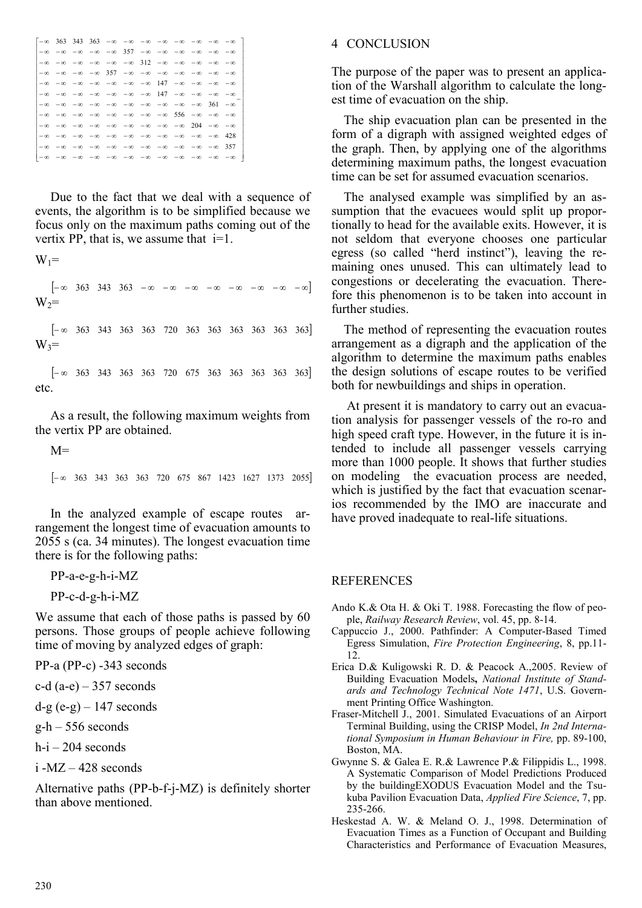|  |  |  |  |                                                                                                                                                                                                                                  |  | $ -\infty$ 363 343 363 $-\infty$ $-\infty$ $-\infty$ $-\infty$ $-\infty$ $-\infty$ $-\infty$ $-\infty$ $-\infty$ |
|--|--|--|--|----------------------------------------------------------------------------------------------------------------------------------------------------------------------------------------------------------------------------------|--|------------------------------------------------------------------------------------------------------------------|
|  |  |  |  | -∞ -∞ -∞ -∞ -∞ -∞ 357 -∞ -∞ -∞ -∞ -∞ -∞ -                                                                                                                                                                                        |  |                                                                                                                  |
|  |  |  |  | $ - \infty\>$ $- \infty\>$ $- \infty\>$ $- \infty\>$ $- \infty\>$ $- \infty\>$ $312$ $- \infty\>$ $- \infty\>$ $- \infty\>$ $- \infty\>$ $- \infty\>$                                                                            |  |                                                                                                                  |
|  |  |  |  | -∞ -∞ -∞ -∞ 357 -∞ -∞ -∞ -∞ -∞ -∞ -∞ -                                                                                                                                                                                           |  |                                                                                                                  |
|  |  |  |  | l-∞ -∞ -∞ -∞ -∞ -∞ -∞ -∞ 147 -∞ -∞ -∞ -∞                                                                                                                                                                                         |  |                                                                                                                  |
|  |  |  |  | $ - \infty\>$ $- \infty\>$ $- \infty\>$ $- \infty\>$ $- \infty\>$ $- \infty\>$ $- \infty\>$ $- \infty\>$ $- \infty\>$ $- \infty\>$ $- \infty\>$                                                                                  |  |                                                                                                                  |
|  |  |  |  | $\mathsf{I}-\infty$ $\mathsf{-}\infty$ $\mathsf{-}\infty$ $\mathsf{-}\infty$ $\mathsf{-}\infty$ $\mathsf{-}\infty$ $\mathsf{-}\infty$ $\mathsf{-}\infty$ $\mathsf{-}\infty$ $\mathsf{-}\infty$ $\mathsf{361}$ $\mathsf{-}\infty$ |  |                                                                                                                  |
|  |  |  |  | -∞ -∞ -∞ -∞ -∞ -∞ -∞ -∞ -∞ 556 -∞ -∞ -∞                                                                                                                                                                                          |  |                                                                                                                  |
|  |  |  |  | $ - \infty\>$ $- \infty\>$ $- \infty\>$ $- \infty\>$ $- \infty\>$ $- \infty\>$ $- \infty\>$ $- \infty\>$ $- \infty\>$ $- \infty\>$ $- \infty\>$                                                                                  |  |                                                                                                                  |
|  |  |  |  |                                                                                                                                                                                                                                  |  |                                                                                                                  |
|  |  |  |  | -∞ -∞ -∞ -∞ -∞ -∞ -∞ -∞ -∞ -∞ -∞ -∞ -∞ 357                                                                                                                                                                                       |  |                                                                                                                  |
|  |  |  |  |                                                                                                                                                                                                                                  |  |                                                                                                                  |
|  |  |  |  |                                                                                                                                                                                                                                  |  |                                                                                                                  |

Due to the fact that we deal with a sequence of events, the algorithm is to be simplified because we focus only on the maximum paths coming out of the vertix PP, that is, we assume that  $i=1$ .

$$
W_1 =
$$

[− ∞ 363 343 363 − ∞ − ∞ − ∞ − ∞ − ∞ − ∞ − ∞ − ∞]  $W_2=$ 

[− ∞ 363 343 363 363 720 363 363 363 363 363 363]  $W_3$ =

[− ∞ 363 343 363 363 720 675 363 363 363 363 363] etc.

As a result, the following maximum weights from the vertix PP are obtained.

 $M=$ 

[− ∞ 363 343 363 363 720 675 867 1423 1627 1373 2055]

In the analyzed example of escape routes arrangement the longest time of evacuation amounts to 2055 s (ca. 34 minutes). The longest evacuation time there is for the following paths:

PP-a-e-g-h-i-MZ

PP-c-d-g-h-i-MZ

We assume that each of those paths is passed by 60 persons. Those groups of people achieve following time of moving by analyzed edges of graph:

PP-a (PP-c) -343 seconds

c-d  $(a-e)$  – 357 seconds

 $d-g$  (e-g) – 147 seconds

 $g-h - 556$  seconds

 $h-i - 204$  seconds

 $i$  -MZ  $-$  428 seconds

Alternative paths (PP-b-f-j-MZ) is definitely shorter than above mentioned.

#### 4 CONCLUSION

The purpose of the paper was to present an application of the Warshall algorithm to calculate the longest time of evacuation on the ship.

The ship evacuation plan can be presented in the form of a digraph with assigned weighted edges of the graph. Then, by applying one of the algorithms determining maximum paths, the longest evacuation time can be set for assumed evacuation scenarios.

The analysed example was simplified by an assumption that the evacuees would split up proportionally to head for the available exits. However, it is not seldom that everyone chooses one particular egress (so called "herd instinct"), leaving the remaining ones unused. This can ultimately lead to congestions or decelerating the evacuation. Therefore this phenomenon is to be taken into account in further studies.

The method of representing the evacuation routes arrangement as a digraph and the application of the algorithm to determine the maximum paths enables the design solutions of escape routes to be verified both for newbuildings and ships in operation.

At present it is mandatory to carry out an evacuation analysis for passenger vessels of the ro-ro and high speed craft type. However, in the future it is intended to include all passenger vessels carrying more than 1000 people. It shows that further studies on modeling the evacuation process are needed, which is justified by the fact that evacuation scenarios recommended by the IMO are inaccurate and have proved inadequate to real-life situations.

#### REFERENCES

- Ando K.& Ota H. & Oki T. 1988. Forecasting the flow of people, *Railway Research Review*, vol. 45, pp. 8-14.
- Cappuccio J., 2000. Pathfinder: A Computer-Based Timed Egress Simulation, *Fire Protection Engineering*, 8, pp.11- 12.
- Erica D.& Kuligowski R. D. & Peacock A.,2005. Review of Building Evacuation Models**,** *National Institute of Standards and Technology Technical Note 1471*, U.S. Government Printing Office Washington.
- Fraser-Mitchell J., 2001. Simulated Evacuations of an Airport Terminal Building, using the CRISP Model, *In 2nd International Symposium in Human Behaviour in Fire,* pp. 89-100, Boston, MA.
- Gwynne S. & Galea E. R.& Lawrence P.& Filippidis L., 1998. A Systematic Comparison of Model Predictions Produced by the buildingEXODUS Evacuation Model and the Tsukuba Pavilion Evacuation Data, *Applied Fire Science*, 7, pp. 235-266.
- Heskestad A. W. & Meland O. J., 1998. Determination of Evacuation Times as a Function of Occupant and Building Characteristics and Performance of Evacuation Measures,